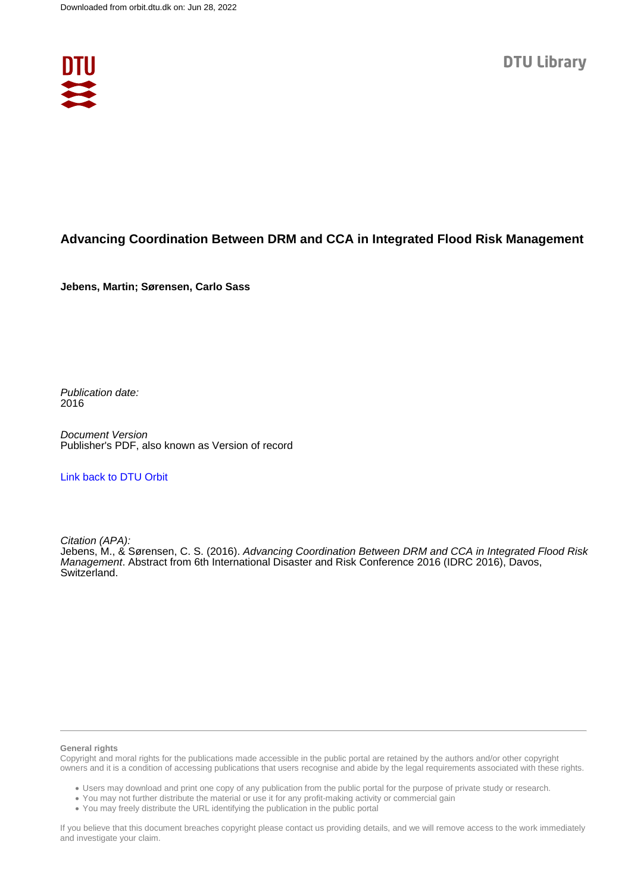

# **Advancing Coordination Between DRM and CCA in Integrated Flood Risk Management**

**Jebens, Martin; Sørensen, Carlo Sass**

Publication date: 2016

Document Version Publisher's PDF, also known as Version of record

#### [Link back to DTU Orbit](https://orbit.dtu.dk/en/publications/ec50a3f0-d989-49e5-9d13-f7729b315e46)

Citation (APA):

Jebens, M., & Sørensen, C. S. (2016). Advancing Coordination Between DRM and CCA in Integrated Flood Risk Management. Abstract from 6th International Disaster and Risk Conference 2016 (IDRC 2016), Davos, Switzerland.

#### **General rights**

Copyright and moral rights for the publications made accessible in the public portal are retained by the authors and/or other copyright owners and it is a condition of accessing publications that users recognise and abide by the legal requirements associated with these rights.

Users may download and print one copy of any publication from the public portal for the purpose of private study or research.

- You may not further distribute the material or use it for any profit-making activity or commercial gain
- You may freely distribute the URL identifying the publication in the public portal

If you believe that this document breaches copyright please contact us providing details, and we will remove access to the work immediately and investigate your claim.